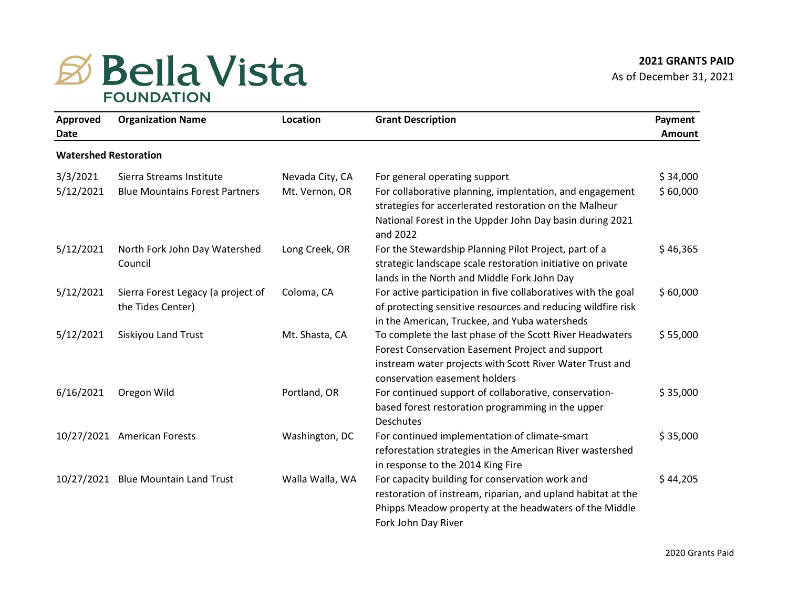## **B** Bella Vista **FOUNDATION**

| Approved<br>Date             | <b>Organization Name</b>                                | Location        | <b>Grant Description</b>                                                                                                                                                                                  | Payment<br>Amount |
|------------------------------|---------------------------------------------------------|-----------------|-----------------------------------------------------------------------------------------------------------------------------------------------------------------------------------------------------------|-------------------|
| <b>Watershed Restoration</b> |                                                         |                 |                                                                                                                                                                                                           |                   |
| 3/3/2021                     | Sierra Streams Institute                                | Nevada City, CA | For general operating support                                                                                                                                                                             | \$34,000          |
| 5/12/2021                    | <b>Blue Mountains Forest Partners</b>                   | Mt. Vernon, OR  | For collaborative planning, implentation, and engagement<br>strategies for accerlerated restoration on the Malheur<br>National Forest in the Uppder John Day basin during 2021<br>and 2022                | \$60,000          |
| 5/12/2021                    | North Fork John Day Watershed<br>Council                | Long Creek, OR  | For the Stewardship Planning Pilot Project, part of a<br>strategic landscape scale restoration initiative on private<br>lands in the North and Middle Fork John Day                                       | \$46,365          |
| 5/12/2021                    | Sierra Forest Legacy (a project of<br>the Tides Center) | Coloma, CA      | For active participation in five collaboratives with the goal<br>of protecting sensitive resources and reducing wildfire risk<br>in the American, Truckee, and Yuba watersheds                            | \$60,000          |
| 5/12/2021                    | Siskiyou Land Trust                                     | Mt. Shasta, CA  | To complete the last phase of the Scott River Headwaters<br>Forest Conservation Easement Project and support<br>instream water projects with Scott River Water Trust and<br>conservation easement holders | \$55,000          |
| 6/16/2021                    | Oregon Wild                                             | Portland, OR    | For continued support of collaborative, conservation-<br>based forest restoration programming in the upper<br><b>Deschutes</b>                                                                            | \$35,000          |
|                              | 10/27/2021 American Forests                             | Washington, DC  | For continued implementation of climate-smart<br>reforestation strategies in the American River wastershed<br>in response to the 2014 King Fire                                                           | \$35,000          |
|                              | 10/27/2021 Blue Mountain Land Trust                     | Walla Walla, WA | For capacity building for conservation work and<br>restoration of instream, riparian, and upland habitat at the<br>Phipps Meadow property at the headwaters of the Middle<br>Fork John Day River          | \$44,205          |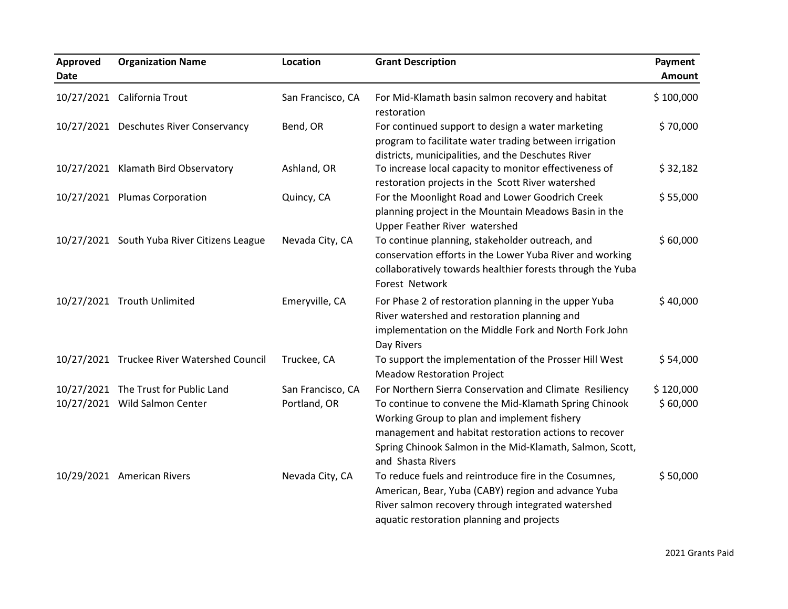| Approved<br>Date | <b>Organization Name</b>                                              | <b>Location</b>                   | <b>Grant Description</b>                                                                                                                                                                                                                                                                                  | Payment<br>Amount     |
|------------------|-----------------------------------------------------------------------|-----------------------------------|-----------------------------------------------------------------------------------------------------------------------------------------------------------------------------------------------------------------------------------------------------------------------------------------------------------|-----------------------|
|                  | 10/27/2021 California Trout                                           | San Francisco, CA                 | For Mid-Klamath basin salmon recovery and habitat<br>restoration                                                                                                                                                                                                                                          | \$100,000             |
|                  | 10/27/2021 Deschutes River Conservancy                                | Bend, OR                          | For continued support to design a water marketing<br>program to facilitate water trading between irrigation<br>districts, municipalities, and the Deschutes River                                                                                                                                         | \$70,000              |
|                  | 10/27/2021 Klamath Bird Observatory                                   | Ashland, OR                       | To increase local capacity to monitor effectiveness of<br>restoration projects in the Scott River watershed                                                                                                                                                                                               | \$32,182              |
|                  | 10/27/2021 Plumas Corporation                                         | Quincy, CA                        | For the Moonlight Road and Lower Goodrich Creek<br>planning project in the Mountain Meadows Basin in the<br>Upper Feather River watershed                                                                                                                                                                 | \$55,000              |
|                  | 10/27/2021 South Yuba River Citizens League                           | Nevada City, CA                   | To continue planning, stakeholder outreach, and<br>conservation efforts in the Lower Yuba River and working<br>collaboratively towards healthier forests through the Yuba<br>Forest Network                                                                                                               | \$60,000              |
|                  | 10/27/2021 Trouth Unlimited                                           | Emeryville, CA                    | For Phase 2 of restoration planning in the upper Yuba<br>River watershed and restoration planning and<br>implementation on the Middle Fork and North Fork John<br>Day Rivers                                                                                                                              | \$40,000              |
|                  | 10/27/2021 Truckee River Watershed Council                            | Truckee, CA                       | To support the implementation of the Prosser Hill West<br><b>Meadow Restoration Project</b>                                                                                                                                                                                                               | \$54,000              |
|                  | 10/27/2021 The Trust for Public Land<br>10/27/2021 Wild Salmon Center | San Francisco, CA<br>Portland, OR | For Northern Sierra Conservation and Climate Resiliency<br>To continue to convene the Mid-Klamath Spring Chinook<br>Working Group to plan and implement fishery<br>management and habitat restoration actions to recover<br>Spring Chinook Salmon in the Mid-Klamath, Salmon, Scott,<br>and Shasta Rivers | \$120,000<br>\$60,000 |
|                  | 10/29/2021 American Rivers                                            | Nevada City, CA                   | To reduce fuels and reintroduce fire in the Cosumnes,<br>American, Bear, Yuba (CABY) region and advance Yuba<br>River salmon recovery through integrated watershed<br>aquatic restoration planning and projects                                                                                           | \$50,000              |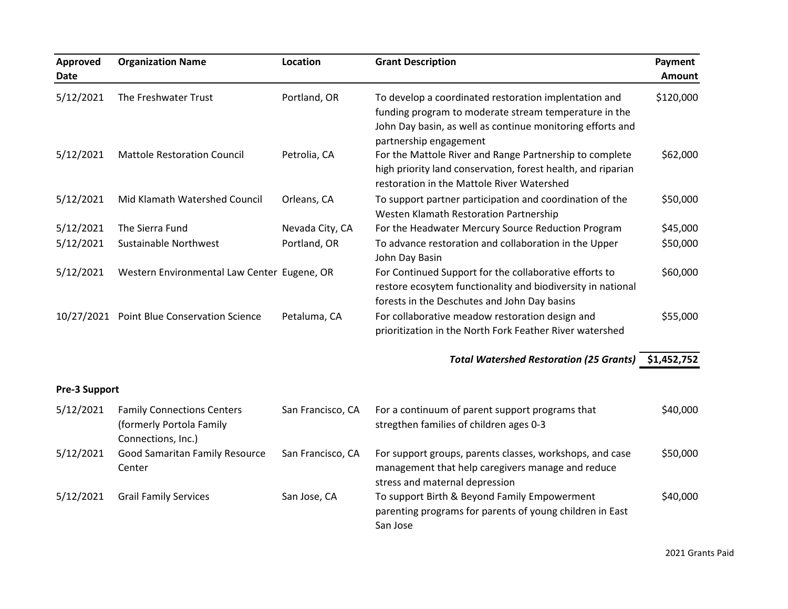| Approved<br><b>Date</b> | <b>Organization Name</b>                                                            | Location          | <b>Grant Description</b>                                                                                                                                                                               | Payment<br>Amount |
|-------------------------|-------------------------------------------------------------------------------------|-------------------|--------------------------------------------------------------------------------------------------------------------------------------------------------------------------------------------------------|-------------------|
| 5/12/2021               | The Freshwater Trust                                                                | Portland, OR      | To develop a coordinated restoration implentation and<br>funding program to moderate stream temperature in the<br>John Day basin, as well as continue monitoring efforts and<br>partnership engagement | \$120,000         |
| 5/12/2021               | <b>Mattole Restoration Council</b>                                                  | Petrolia, CA      | For the Mattole River and Range Partnership to complete<br>high priority land conservation, forest health, and riparian<br>restoration in the Mattole River Watershed                                  | \$62,000          |
| 5/12/2021               | Mid Klamath Watershed Council                                                       | Orleans, CA       | To support partner participation and coordination of the<br>Westen Klamath Restoration Partnership                                                                                                     | \$50,000          |
| 5/12/2021               | The Sierra Fund                                                                     | Nevada City, CA   | For the Headwater Mercury Source Reduction Program                                                                                                                                                     | \$45,000          |
| 5/12/2021               | <b>Sustainable Northwest</b>                                                        | Portland, OR      | To advance restoration and collaboration in the Upper<br>John Day Basin                                                                                                                                | \$50,000          |
| 5/12/2021               | Western Environmental Law Center Eugene, OR                                         |                   | For Continued Support for the collaborative efforts to<br>restore ecosytem functionality and biodiversity in national<br>forests in the Deschutes and John Day basins                                  | \$60,000          |
|                         | 10/27/2021 Point Blue Conservation Science                                          | Petaluma, CA      | For collaborative meadow restoration design and<br>prioritization in the North Fork Feather River watershed                                                                                            | \$55,000          |
|                         |                                                                                     |                   | Total Watershed Restoration (25 Grants) \$1,452,752                                                                                                                                                    |                   |
| Pre-3 Support           |                                                                                     |                   |                                                                                                                                                                                                        |                   |
| 5/12/2021               | <b>Family Connections Centers</b><br>(formerly Portola Family<br>Connections, Inc.) | San Francisco, CA | For a continuum of parent support programs that<br>stregthen families of children ages 0-3                                                                                                             | \$40,000          |
| 5/12/2021               | Good Samaritan Family Resource<br>Center                                            | San Francisco, CA | For support groups, parents classes, workshops, and case<br>management that help caregivers manage and reduce<br>stress and maternal depression                                                        | \$50,000          |
| 5/12/2021               | <b>Grail Family Services</b>                                                        | San Jose, CA      | To support Birth & Beyond Family Empowerment<br>parenting programs for parents of young children in East<br>San Jose                                                                                   | \$40,000          |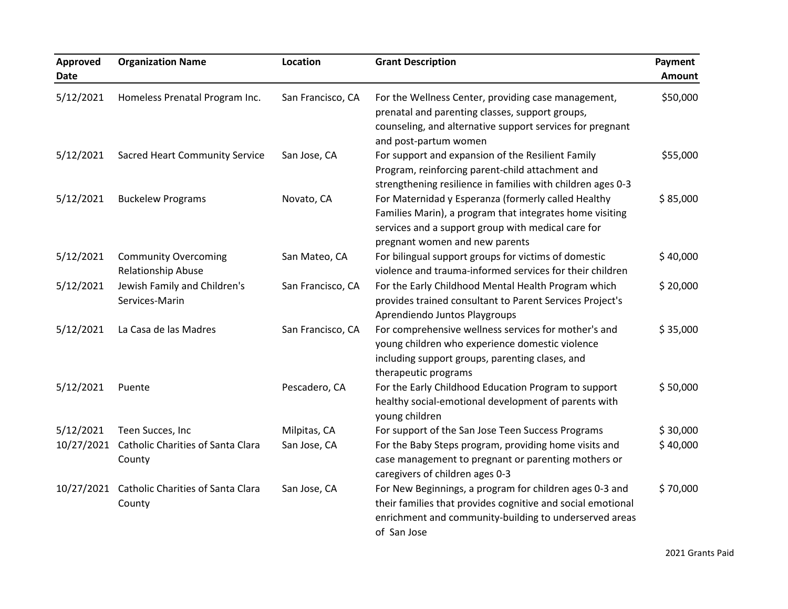| <b>Approved</b><br><b>Date</b> | <b>Organization Name</b>                          | Location          | <b>Grant Description</b>                                                                                                                                                                                | Payment<br>Amount |
|--------------------------------|---------------------------------------------------|-------------------|---------------------------------------------------------------------------------------------------------------------------------------------------------------------------------------------------------|-------------------|
| 5/12/2021                      | Homeless Prenatal Program Inc.                    | San Francisco, CA | For the Wellness Center, providing case management,<br>prenatal and parenting classes, support groups,<br>counseling, and alternative support services for pregnant<br>and post-partum women            | \$50,000          |
| 5/12/2021                      | <b>Sacred Heart Community Service</b>             | San Jose, CA      | For support and expansion of the Resilient Family<br>Program, reinforcing parent-child attachment and<br>strengthening resilience in families with children ages 0-3                                    | \$55,000          |
| 5/12/2021                      | <b>Buckelew Programs</b>                          | Novato, CA        | For Maternidad y Esperanza (formerly called Healthy<br>Families Marin), a program that integrates home visiting<br>services and a support group with medical care for<br>pregnant women and new parents | \$85,000          |
| 5/12/2021                      | <b>Community Overcoming</b><br>Relationship Abuse | San Mateo, CA     | For bilingual support groups for victims of domestic<br>violence and trauma-informed services for their children                                                                                        | \$40,000          |
| 5/12/2021                      | Jewish Family and Children's<br>Services-Marin    | San Francisco, CA | For the Early Childhood Mental Health Program which<br>provides trained consultant to Parent Services Project's<br>Aprendiendo Juntos Playgroups                                                        | \$20,000          |
| 5/12/2021                      | La Casa de las Madres                             | San Francisco, CA | For comprehensive wellness services for mother's and<br>young children who experience domestic violence<br>including support groups, parenting clases, and<br>therapeutic programs                      | \$35,000          |
| 5/12/2021                      | Puente                                            | Pescadero, CA     | For the Early Childhood Education Program to support<br>healthy social-emotional development of parents with<br>young children                                                                          | \$50,000          |
| 5/12/2021                      | Teen Succes, Inc                                  | Milpitas, CA      | For support of the San Jose Teen Success Programs                                                                                                                                                       | \$30,000          |
| 10/27/2021                     | Catholic Charities of Santa Clara<br>County       | San Jose, CA      | For the Baby Steps program, providing home visits and<br>case management to pregnant or parenting mothers or<br>caregivers of children ages 0-3                                                         | \$40,000          |
| 10/27/2021                     | Catholic Charities of Santa Clara<br>County       | San Jose, CA      | For New Beginnings, a program for children ages 0-3 and<br>their families that provides cognitive and social emotional<br>enrichment and community-building to underserved areas<br>of San Jose         | \$70,000          |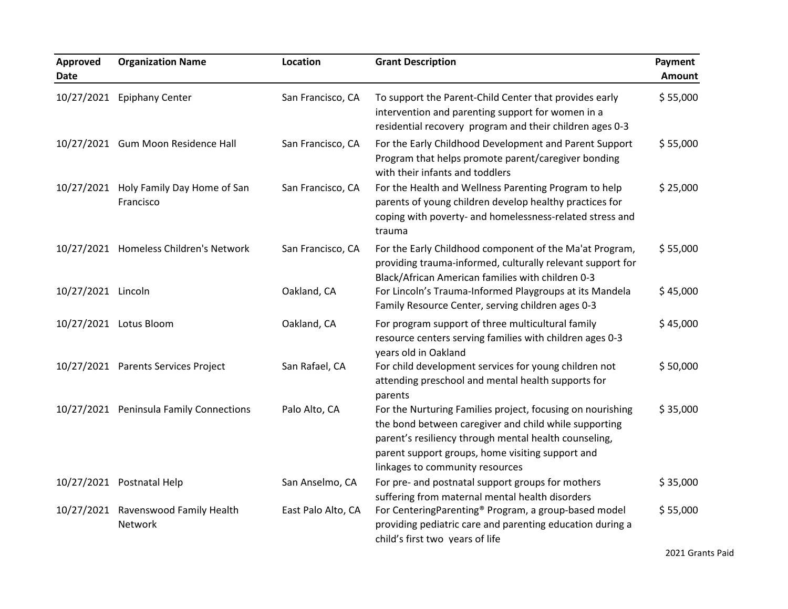| Approved<br><b>Date</b> | <b>Organization Name</b>                            | <b>Location</b>    | <b>Grant Description</b>                                                                                                                                                                                                                                            | Payment<br>Amount |
|-------------------------|-----------------------------------------------------|--------------------|---------------------------------------------------------------------------------------------------------------------------------------------------------------------------------------------------------------------------------------------------------------------|-------------------|
|                         | 10/27/2021 Epiphany Center                          | San Francisco, CA  | To support the Parent-Child Center that provides early<br>intervention and parenting support for women in a<br>residential recovery program and their children ages 0-3                                                                                             | \$55,000          |
|                         | 10/27/2021 Gum Moon Residence Hall                  | San Francisco, CA  | For the Early Childhood Development and Parent Support<br>Program that helps promote parent/caregiver bonding<br>with their infants and toddlers                                                                                                                    | \$55,000          |
|                         | 10/27/2021 Holy Family Day Home of San<br>Francisco | San Francisco, CA  | For the Health and Wellness Parenting Program to help<br>parents of young children develop healthy practices for<br>coping with poverty- and homelessness-related stress and<br>trauma                                                                              | \$25,000          |
|                         | 10/27/2021 Homeless Children's Network              | San Francisco, CA  | For the Early Childhood component of the Ma'at Program,<br>providing trauma-informed, culturally relevant support for<br>Black/African American families with children 0-3                                                                                          | \$55,000          |
| 10/27/2021 Lincoln      |                                                     | Oakland, CA        | For Lincoln's Trauma-Informed Playgroups at its Mandela<br>Family Resource Center, serving children ages 0-3                                                                                                                                                        | \$45,000          |
|                         | 10/27/2021 Lotus Bloom                              | Oakland, CA        | For program support of three multicultural family<br>resource centers serving families with children ages 0-3<br>years old in Oakland                                                                                                                               | \$45,000          |
|                         | 10/27/2021 Parents Services Project                 | San Rafael, CA     | For child development services for young children not<br>attending preschool and mental health supports for<br>parents                                                                                                                                              | \$50,000          |
|                         | 10/27/2021 Peninsula Family Connections             | Palo Alto, CA      | For the Nurturing Families project, focusing on nourishing<br>the bond between caregiver and child while supporting<br>parent's resiliency through mental health counseling,<br>parent support groups, home visiting support and<br>linkages to community resources | \$35,000          |
|                         | 10/27/2021 Postnatal Help                           | San Anselmo, CA    | For pre- and postnatal support groups for mothers<br>suffering from maternal mental health disorders                                                                                                                                                                | \$35,000          |
|                         | 10/27/2021 Ravenswood Family Health<br>Network      | East Palo Alto, CA | For CenteringParenting® Program, a group-based model<br>providing pediatric care and parenting education during a<br>child's first two years of life                                                                                                                | \$55,000          |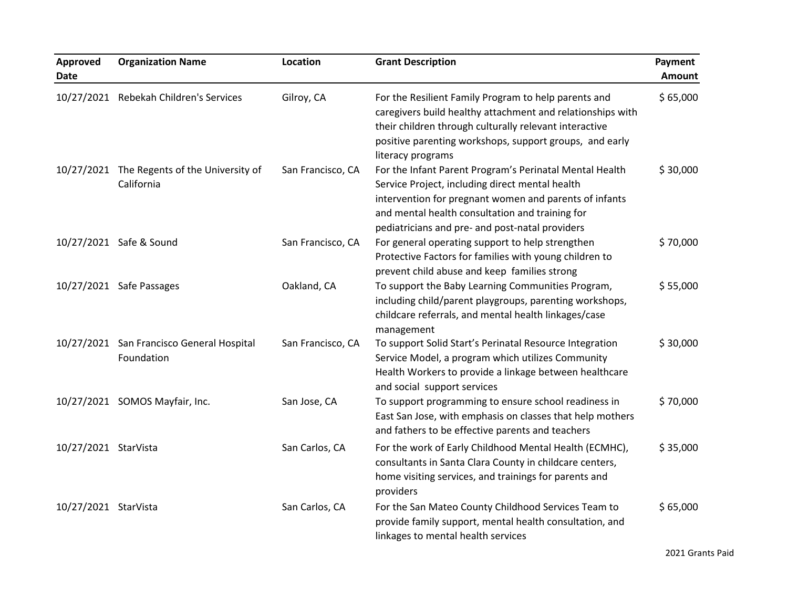| Approved<br>Date     | <b>Organization Name</b>                                  | <b>Location</b>   | <b>Grant Description</b>                                                                                                                                                                                                                                                   | Payment<br>Amount |
|----------------------|-----------------------------------------------------------|-------------------|----------------------------------------------------------------------------------------------------------------------------------------------------------------------------------------------------------------------------------------------------------------------------|-------------------|
|                      | 10/27/2021 Rebekah Children's Services                    | Gilroy, CA        | For the Resilient Family Program to help parents and<br>caregivers build healthy attachment and relationships with<br>their children through culturally relevant interactive<br>positive parenting workshops, support groups, and early<br>literacy programs               | \$65,000          |
|                      | 10/27/2021 The Regents of the University of<br>California | San Francisco, CA | For the Infant Parent Program's Perinatal Mental Health<br>Service Project, including direct mental health<br>intervention for pregnant women and parents of infants<br>and mental health consultation and training for<br>pediatricians and pre- and post-natal providers | \$30,000          |
|                      | 10/27/2021 Safe & Sound                                   | San Francisco, CA | For general operating support to help strengthen<br>Protective Factors for families with young children to<br>prevent child abuse and keep families strong                                                                                                                 | \$70,000          |
|                      | 10/27/2021 Safe Passages                                  | Oakland, CA       | To support the Baby Learning Communities Program,<br>including child/parent playgroups, parenting workshops,<br>childcare referrals, and mental health linkages/case<br>management                                                                                         | \$55,000          |
|                      | 10/27/2021 San Francisco General Hospital<br>Foundation   | San Francisco, CA | To support Solid Start's Perinatal Resource Integration<br>Service Model, a program which utilizes Community<br>Health Workers to provide a linkage between healthcare<br>and social support services                                                                      | \$30,000          |
|                      | 10/27/2021 SOMOS Mayfair, Inc.                            | San Jose, CA      | To support programming to ensure school readiness in<br>East San Jose, with emphasis on classes that help mothers<br>and fathers to be effective parents and teachers                                                                                                      | \$70,000          |
| 10/27/2021 StarVista |                                                           | San Carlos, CA    | For the work of Early Childhood Mental Health (ECMHC),<br>consultants in Santa Clara County in childcare centers,<br>home visiting services, and trainings for parents and<br>providers                                                                                    | \$35,000          |
| 10/27/2021 StarVista |                                                           | San Carlos, CA    | For the San Mateo County Childhood Services Team to<br>provide family support, mental health consultation, and<br>linkages to mental health services                                                                                                                       | \$65,000          |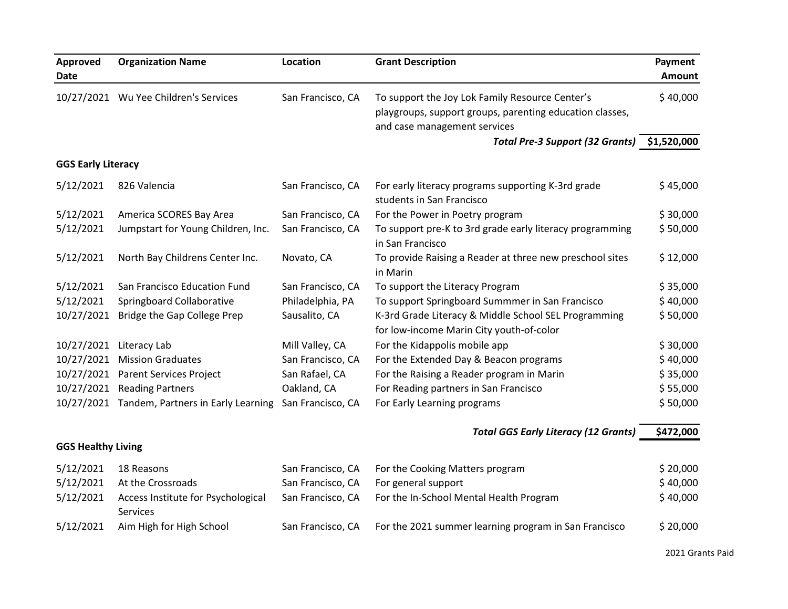| Approved<br>Date          | <b>Organization Name</b>              | Location          | <b>Grant Description</b>                                                                                                                    | Payment<br><b>Amount</b> |
|---------------------------|---------------------------------------|-------------------|---------------------------------------------------------------------------------------------------------------------------------------------|--------------------------|
|                           | 10/27/2021 Wu Yee Children's Services | San Francisco, CA | To support the Joy Lok Family Resource Center's<br>playgroups, support groups, parenting education classes,<br>and case management services | \$40,000                 |
|                           |                                       |                   | <b>Total Pre-3 Support (32 Grants)</b>                                                                                                      | \$1,520,000              |
| <b>GGS Early Literacy</b> |                                       |                   |                                                                                                                                             |                          |
| 5/12/2021                 | 826 Valencia                          | San Francisco, CA | For early literacy programs supporting K-3rd grade<br>students in San Francisco                                                             | \$45,000                 |
| 5/12/2021                 | America SCORES Bay Area               | San Francisco, CA | For the Power in Poetry program                                                                                                             | \$30,000                 |
| 5/12/2021                 | Jumpstart for Young Children, Inc.    | San Francisco, CA | To support pre-K to 3rd grade early literacy programming<br>in San Francisco                                                                | \$50,000                 |
| 5/12/2021                 | North Bay Childrens Center Inc.       | Novato, CA        | To provide Raising a Reader at three new preschool sites<br>in Marin                                                                        | \$12,000                 |
| 5/12/2021                 | San Francisco Education Fund          | San Francisco, CA | To support the Literacy Program                                                                                                             | \$35,000                 |
| 5/12/2021                 | Springboard Collaborative             | Philadelphia, PA  | To support Springboard Summmer in San Francisco                                                                                             | \$40,000                 |
| 10/27/2021                | Bridge the Gap College Prep           | Sausalito, CA     | K-3rd Grade Literacy & Middle School SEL Programming<br>for low-income Marin City youth-of-color                                            | \$50,000                 |
| 10/27/2021                | Literacy Lab                          | Mill Valley, CA   | For the Kidappolis mobile app                                                                                                               | \$30,000                 |
| 10/27/2021                | <b>Mission Graduates</b>              | San Francisco, CA | For the Extended Day & Beacon programs                                                                                                      | \$40,000                 |
| 10/27/2021                | <b>Parent Services Project</b>        | San Rafael, CA    | For the Raising a Reader program in Marin                                                                                                   | \$35,000                 |
| 10/27/2021                | <b>Reading Partners</b>               | Oakland, CA       | For Reading partners in San Francisco                                                                                                       | \$55,000                 |
| 10/27/2021                | Tandem, Partners in Early Learning    | San Francisco, CA | For Early Learning programs                                                                                                                 | \$50,000                 |

*Total GGS Early Literacy (12 Grants)* 5472,000

## **GGS Healthy Living**

| 5/12/2021 | 18 Reasons                         | San Francisco, CA | For the Cooking Matters program                       | \$20,000 |
|-----------|------------------------------------|-------------------|-------------------------------------------------------|----------|
| 5/12/2021 | At the Crossroads                  | San Francisco, CA | For general support                                   | \$40,000 |
| 5/12/2021 | Access Institute for Psychological | San Francisco, CA | For the In-School Mental Health Program               | \$40,000 |
|           | <b>Services</b>                    |                   |                                                       |          |
| 5/12/2021 | Aim High for High School           | San Francisco, CA | For the 2021 summer learning program in San Francisco | \$20,000 |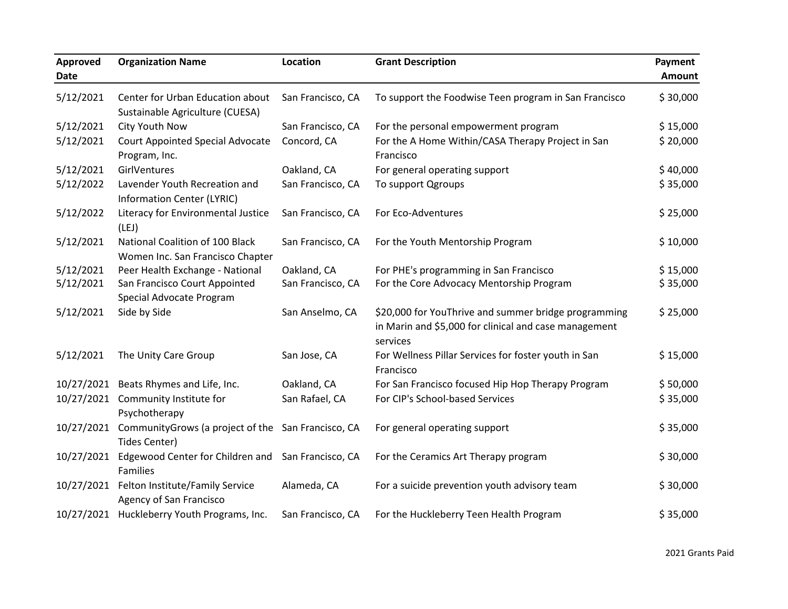| Approved<br><b>Date</b> | <b>Organization Name</b>                                                       | Location          | <b>Grant Description</b>                                                                                                  | Payment<br>Amount |
|-------------------------|--------------------------------------------------------------------------------|-------------------|---------------------------------------------------------------------------------------------------------------------------|-------------------|
| 5/12/2021               | Center for Urban Education about<br>Sustainable Agriculture (CUESA)            | San Francisco, CA | To support the Foodwise Teen program in San Francisco                                                                     | \$30,000          |
| 5/12/2021               | City Youth Now                                                                 | San Francisco, CA | For the personal empowerment program                                                                                      | \$15,000          |
| 5/12/2021               | <b>Court Appointed Special Advocate</b><br>Program, Inc.                       | Concord, CA       | For the A Home Within/CASA Therapy Project in San<br>Francisco                                                            | \$20,000          |
| 5/12/2021               | GirlVentures                                                                   | Oakland, CA       | For general operating support                                                                                             | \$40,000          |
| 5/12/2022               | Lavender Youth Recreation and<br><b>Information Center (LYRIC)</b>             | San Francisco, CA | To support Qgroups                                                                                                        | \$35,000          |
| 5/12/2022               | Literacy for Environmental Justice<br>(LEJ)                                    | San Francisco, CA | For Eco-Adventures                                                                                                        | \$25,000          |
| 5/12/2021               | National Coalition of 100 Black<br>Women Inc. San Francisco Chapter            | San Francisco, CA | For the Youth Mentorship Program                                                                                          | \$10,000          |
| 5/12/2021               | Peer Health Exchange - National                                                | Oakland, CA       | For PHE's programming in San Francisco                                                                                    | \$15,000          |
| 5/12/2021               | San Francisco Court Appointed<br>Special Advocate Program                      | San Francisco, CA | For the Core Advocacy Mentorship Program                                                                                  | \$35,000          |
| 5/12/2021               | Side by Side                                                                   | San Anselmo, CA   | \$20,000 for YouThrive and summer bridge programming<br>in Marin and \$5,000 for clinical and case management<br>services | \$25,000          |
| 5/12/2021               | The Unity Care Group                                                           | San Jose, CA      | For Wellness Pillar Services for foster youth in San<br>Francisco                                                         | \$15,000          |
|                         | 10/27/2021 Beats Rhymes and Life, Inc.                                         | Oakland, CA       | For San Francisco focused Hip Hop Therapy Program                                                                         | \$50,000          |
| 10/27/2021              | Community Institute for<br>Psychotherapy                                       | San Rafael, CA    | For CIP's School-based Services                                                                                           | \$35,000          |
|                         | 10/27/2021 CommunityGrows (a project of the San Francisco, CA<br>Tides Center) |                   | For general operating support                                                                                             | \$35,000          |
| 10/27/2021              | Edgewood Center for Children and San Francisco, CA<br>Families                 |                   | For the Ceramics Art Therapy program                                                                                      | \$30,000          |
| 10/27/2021              | Felton Institute/Family Service<br>Agency of San Francisco                     | Alameda, CA       | For a suicide prevention youth advisory team                                                                              | \$30,000          |
|                         | 10/27/2021 Huckleberry Youth Programs, Inc.                                    | San Francisco, CA | For the Huckleberry Teen Health Program                                                                                   | \$35,000          |